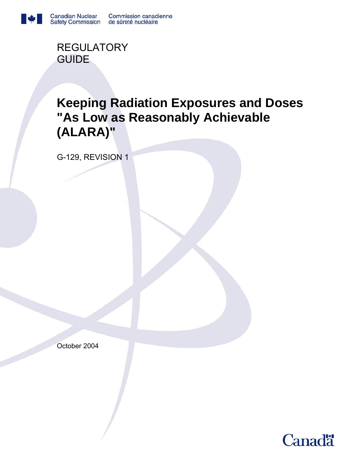

**REGULATORY** GUIDE

# **Keeping Radiation Exposures and Doses "As Low as Reasonably Achievable (ALARA)"**

G-129, REVISION 1

October 2004

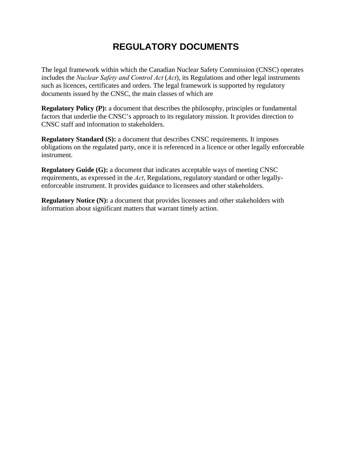## **REGULATORY DOCUMENTS**

The legal framework within which the Canadian Nuclear Safety Commission (CNSC) operates includes the *Nuclear Safety and Control Act* (*Act*), its Regulations and other legal instruments such as licences, certificates and orders. The legal framework is supported by regulatory documents issued by the CNSC, the main classes of which are

**Regulatory Policy (P):** a document that describes the philosophy, principles or fundamental factors that underlie the CNSC's approach to its regulatory mission. It provides direction to CNSC staff and information to stakeholders.

**Regulatory Standard (S):** a document that describes CNSC requirements. It imposes obligations on the regulated party, once it is referenced in a licence or other legally enforceable instrument.

**Regulatory Guide (G):** a document that indicates acceptable ways of meeting CNSC requirements, as expressed in the *Act*, Regulations, regulatory standard or other legallyenforceable instrument. It provides guidance to licensees and other stakeholders.

**Regulatory Notice (N):** a document that provides licensees and other stakeholders with information about significant matters that warrant timely action.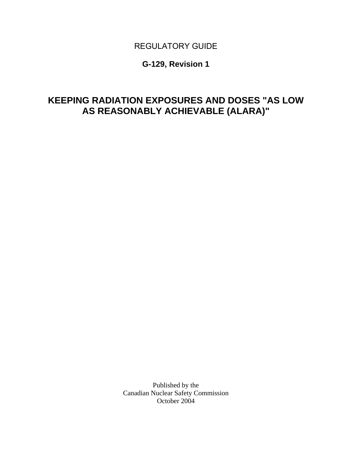## REGULATORY GUIDE

## **G-129, Revision 1**

## **KEEPING RADIATION EXPOSURES AND DOSES "AS LOW AS REASONABLY ACHIEVABLE (ALARA)"**

Published by the Canadian Nuclear Safety Commission October 2004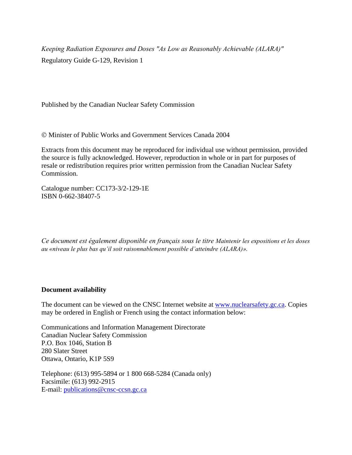*Keeping Radiation Exposures and Doses "As Low as Reasonably Achievable (ALARA)"*  Regulatory Guide G-129, Revision 1

Published by the Canadian Nuclear Safety Commission

© Minister of Public Works and Government Services Canada 2004

Extracts from this document may be reproduced for individual use without permission, provided the source is fully acknowledged. However, reproduction in whole or in part for purposes of resale or redistribution requires prior written permission from the Canadian Nuclear Safety Commission.

Catalogue number: CC173-3/2-129-1E ISBN 0-662-38407-5

*Ce document est également disponible en français sous le titre Maintenir les expositions et les doses au «niveau le plus bas qu'il soit raisonnablement possible d'atteindre (ALARA)».* 

#### **Document availability**

The document can be viewed on the CNSC Internet website at www.nuclearsafety.gc.ca. Copies may be ordered in English or French using the contact information below:

Communications and Information Management Directorate Canadian Nuclear Safety Commission P.O. Box 1046, Station B 280 Slater Street Ottawa, Ontario, K1P 5S9

Telephone: (613) 995-5894 or 1 800 668-5284 (Canada only) Facsimile: (613) 992-2915 E-mail: publications@cnsc-ccsn.gc.ca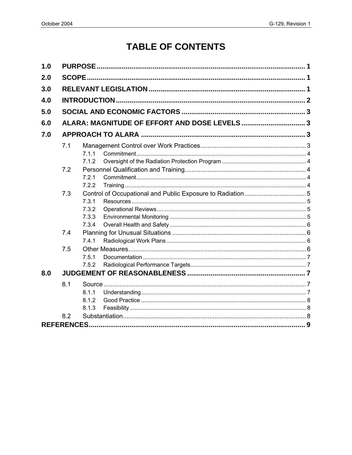# **TABLE OF CONTENTS**

| 1.0 |               |       |  |  |
|-----|---------------|-------|--|--|
| 2.0 | <b>SCOPE.</b> |       |  |  |
| 3.0 |               |       |  |  |
| 4.0 |               |       |  |  |
| 5.0 |               |       |  |  |
| 6.0 |               |       |  |  |
| 7.0 |               |       |  |  |
|     | 7.1           |       |  |  |
|     |               | 7.1.1 |  |  |
|     |               | 7.1.2 |  |  |
|     | 7.2           |       |  |  |
|     |               | 7.2.1 |  |  |
|     |               | 7.2.2 |  |  |
|     | 7.3           |       |  |  |
|     |               | 7.3.1 |  |  |
|     |               | 7.3.2 |  |  |
|     |               | 7.3.3 |  |  |
|     |               | 7.3.4 |  |  |
|     | 7.4           |       |  |  |
|     |               | 7.4.1 |  |  |
|     | 7.5           |       |  |  |
|     |               | 7.5.1 |  |  |
|     |               | 7.5.2 |  |  |
| 8.0 |               |       |  |  |
|     | 8.1           |       |  |  |
|     |               | 8.1.1 |  |  |
|     |               | 8.1.2 |  |  |
|     |               | 8.1.3 |  |  |
|     | 8.2           |       |  |  |
|     |               |       |  |  |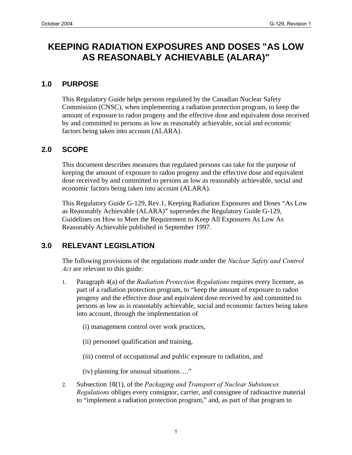## **KEEPING RADIATION EXPOSURES AND DOSES "AS LOW AS REASONABLY ACHIEVABLE (ALARA)"**

#### **1.0 PURPOSE**

This Regulatory Guide helps persons regulated by the Canadian Nuclear Safety Commission (CNSC), when implementing a radiation protection program, to keep the amount of exposure to radon progeny and the effective dose and equivalent dose received by and committed to persons as low as reasonably achievable, social and economic factors being taken into account (ALARA).

#### **2.0 SCOPE**

This document describes measures that regulated persons can take for the purpose of keeping the amount of exposure to radon progeny and the effective dose and equivalent dose received by and committed to persons as low as reasonably achievable, social and economic factors being taken into account (ALARA).

This Regulatory Guide G-129, Rev.1, Keeping Radiation Exposures and Doses "As Low as Reasonably Achievable (ALARA)" supersedes the Regulatory Guide G-129, Guidelines on How to Meet the Requirement to Keep All Exposures As Low As Reasonably Achievable published in September 1997.

### **3.0 RELEVANT LEGISLATION**

The following provisions of the regulations made under the *Nuclear Safety and Control Act* are relevant to this guide:

- 1. Paragraph 4(a) of the *Radiation Protection Regulations* requires every licensee, as part of a radiation protection program, to "keep the amount of exposure to radon progeny and the effective dose and equivalent dose received by and committed to persons as low as is reasonably achievable, social and economic factors being taken into account, through the implementation of
	- (i) management control over work practices,
	- (ii) personnel qualification and training,
	- (iii) control of occupational and public exposure to radiation, and

(iv) planning for unusual situations…."

2. Subsection 18(1), of the *Packaging and Transport of Nuclear Substances Regulations* obliges every consignor, carrier, and consignee of radioactive material to "implement a radiation protection program," and, as part of that program to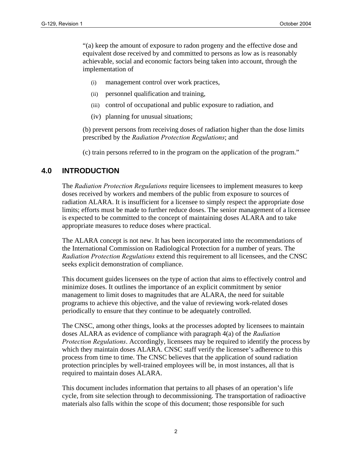"(a) keep the amount of exposure to radon progeny and the effective dose and equivalent dose received by and committed to persons as low as is reasonably achievable, social and economic factors being taken into account, through the implementation of

- (i) management control over work practices,
- (ii) personnel qualification and training,
- (iii) control of occupational and public exposure to radiation, and
- (iv) planning for unusual situations;

(b) prevent persons from receiving doses of radiation higher than the dose limits prescribed by the *Radiation Protection Regulations*; and

(c) train persons referred to in the program on the application of the program."

### **4.0 INTRODUCTION**

The *Radiation Protection Regulations* require licensees to implement measures to keep doses received by workers and members of the public from exposure to sources of radiation ALARA. It is insufficient for a licensee to simply respect the appropriate dose limits; efforts must be made to further reduce doses. The senior management of a licensee is expected to be committed to the concept of maintaining doses ALARA and to take appropriate measures to reduce doses where practical.

The ALARA concept is not new. It has been incorporated into the recommendations of the International Commission on Radiological Protection for a number of years. The *Radiation Protection Regulations* extend this requirement to all licensees, and the CNSC seeks explicit demonstration of compliance.

This document guides licensees on the type of action that aims to effectively control and minimize doses. It outlines the importance of an explicit commitment by senior management to limit doses to magnitudes that are ALARA, the need for suitable programs to achieve this objective, and the value of reviewing work-related doses periodically to ensure that they continue to be adequately controlled.

The CNSC, among other things, looks at the processes adopted by licensees to maintain doses ALARA as evidence of compliance with paragraph 4(a) of the *Radiation Protection Regulations*. Accordingly, licensees may be required to identify the process by which they maintain doses ALARA. CNSC staff verify the licensee's adherence to this process from time to time. The CNSC believes that the application of sound radiation protection principles by well-trained employees will be, in most instances, all that is required to maintain doses ALARA.

This document includes information that pertains to all phases of an operation's life cycle, from site selection through to decommissioning. The transportation of radioactive materials also falls within the scope of this document; those responsible for such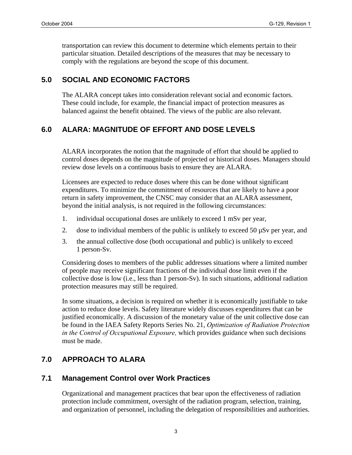transportation can review this document to determine which elements pertain to their particular situation. Detailed descriptions of the measures that may be necessary to comply with the regulations are beyond the scope of this document.

## **5.0 SOCIAL AND ECONOMIC FACTORS**

The ALARA concept takes into consideration relevant social and economic factors. These could include, for example, the financial impact of protection measures as balanced against the benefit obtained. The views of the public are also relevant.

## **6.0 ALARA: MAGNITUDE OF EFFORT AND DOSE LEVELS**

ALARA incorporates the notion that the magnitude of effort that should be applied to control doses depends on the magnitude of projected or historical doses. Managers should review dose levels on a continuous basis to ensure they are ALARA.

Licensees are expected to reduce doses where this can be done without significant expenditures. To minimize the commitment of resources that are likely to have a poor return in safety improvement, the CNSC may consider that an ALARA assessment, beyond the initial analysis, is not required in the following circumstances:

- 1. individual occupational doses are unlikely to exceed 1 mSv per year,
- 2. dose to individual members of the public is unlikely to exceed 50  $\mu$ Sv per year, and
- 3. the annual collective dose (both occupational and public) is unlikely to exceed 1 person-Sv.

Considering doses to members of the public addresses situations where a limited number of people may receive significant fractions of the individual dose limit even if the collective dose is low (i.e., less than 1 person-Sv). In such situations, additional radiation protection measures may still be required.

In some situations, a decision is required on whether it is economically justifiable to take action to reduce dose levels. Safety literature widely discusses expenditures that can be justified economically. A discussion of the monetary value of the unit collective dose can be found in the IAEA Safety Reports Series No. 21, *Optimization of Radiation Protection in the Control of Occupational Exposure,* which provides guidance when such decisions must be made.

## **7.0 APPROACH TO ALARA**

### **7.1 Management Control over Work Practices**

Organizational and management practices that bear upon the effectiveness of radiation protection include commitment, oversight of the radiation program, selection, training, and organization of personnel, including the delegation of responsibilities and authorities.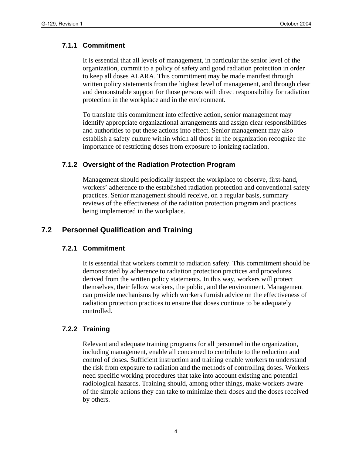#### **7.1.1 Commitment**

It is essential that all levels of management, in particular the senior level of the organization, commit to a policy of safety and good radiation protection in order to keep all doses ALARA. This commitment may be made manifest through written policy statements from the highest level of management, and through clear and demonstrable support for those persons with direct responsibility for radiation protection in the workplace and in the environment.

To translate this commitment into effective action, senior management may identify appropriate organizational arrangements and assign clear responsibilities and authorities to put these actions into effect. Senior management may also establish a safety culture within which all those in the organization recognize the importance of restricting doses from exposure to ionizing radiation.

#### **7.1.2 Oversight of the Radiation Protection Program**

Management should periodically inspect the workplace to observe, first-hand, workers' adherence to the established radiation protection and conventional safety practices. Senior management should receive, on a regular basis, summary reviews of the effectiveness of the radiation protection program and practices being implemented in the workplace.

### **7.2 Personnel Qualification and Training**

#### **7.2.1 Commitment**

It is essential that workers commit to radiation safety. This commitment should be demonstrated by adherence to radiation protection practices and procedures derived from the written policy statements. In this way, workers will protect themselves, their fellow workers, the public, and the environment. Management can provide mechanisms by which workers furnish advice on the effectiveness of radiation protection practices to ensure that doses continue to be adequately controlled.

#### **7.2.2 Training**

Relevant and adequate training programs for all personnel in the organization, including management, enable all concerned to contribute to the reduction and control of doses. Sufficient instruction and training enable workers to understand the risk from exposure to radiation and the methods of controlling doses. Workers need specific working procedures that take into account existing and potential radiological hazards. Training should, among other things, make workers aware of the simple actions they can take to minimize their doses and the doses received by others.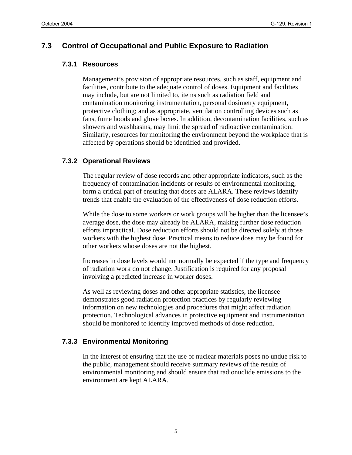#### **7.3 Control of Occupational and Public Exposure to Radiation**

#### **7.3.1 Resources**

Management's provision of appropriate resources, such as staff, equipment and facilities, contribute to the adequate control of doses. Equipment and facilities may include, but are not limited to, items such as radiation field and contamination monitoring instrumentation, personal dosimetry equipment, protective clothing; and as appropriate, ventilation controlling devices such as fans, fume hoods and glove boxes. In addition, decontamination facilities, such as showers and washbasins, may limit the spread of radioactive contamination. Similarly, resources for monitoring the environment beyond the workplace that is affected by operations should be identified and provided.

#### **7.3.2 Operational Reviews**

The regular review of dose records and other appropriate indicators, such as the frequency of contamination incidents or results of environmental monitoring, form a critical part of ensuring that doses are ALARA. These reviews identify trends that enable the evaluation of the effectiveness of dose reduction efforts.

While the dose to some workers or work groups will be higher than the licensee's average dose, the dose may already be ALARA, making further dose reduction efforts impractical. Dose reduction efforts should not be directed solely at those workers with the highest dose. Practical means to reduce dose may be found for other workers whose doses are not the highest.

Increases in dose levels would not normally be expected if the type and frequency of radiation work do not change. Justification is required for any proposal involving a predicted increase in worker doses.

As well as reviewing doses and other appropriate statistics, the licensee demonstrates good radiation protection practices by regularly reviewing information on new technologies and procedures that might affect radiation protection. Technological advances in protective equipment and instrumentation should be monitored to identify improved methods of dose reduction.

#### **7.3.3 Environmental Monitoring**

In the interest of ensuring that the use of nuclear materials poses no undue risk to the public, management should receive summary reviews of the results of environmental monitoring and should ensure that radionuclide emissions to the environment are kept ALARA.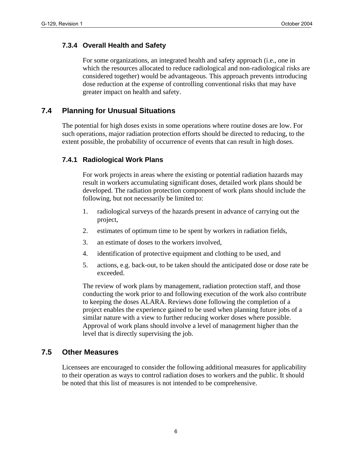#### **7.3.4 Overall Health and Safety**

For some organizations, an integrated health and safety approach (i.e., one in which the resources allocated to reduce radiological and non-radiological risks are considered together) would be advantageous. This approach prevents introducing dose reduction at the expense of controlling conventional risks that may have greater impact on health and safety.

#### **7.4 Planning for Unusual Situations**

The potential for high doses exists in some operations where routine doses are low. For such operations, major radiation protection efforts should be directed to reducing, to the extent possible, the probability of occurrence of events that can result in high doses.

#### **7.4.1 Radiological Work Plans**

For work projects in areas where the existing or potential radiation hazards may result in workers accumulating significant doses, detailed work plans should be developed. The radiation protection component of work plans should include the following, but not necessarily be limited to:

- 1. radiological surveys of the hazards present in advance of carrying out the project,
- 2. estimates of optimum time to be spent by workers in radiation fields,
- 3. an estimate of doses to the workers involved,
- 4. identification of protective equipment and clothing to be used, and
- 5. actions, e.g. back-out, to be taken should the anticipated dose or dose rate be exceeded.

The review of work plans by management, radiation protection staff, and those conducting the work prior to and following execution of the work also contribute to keeping the doses ALARA. Reviews done following the completion of a project enables the experience gained to be used when planning future jobs of a similar nature with a view to further reducing worker doses where possible. Approval of work plans should involve a level of management higher than the level that is directly supervising the job.

#### **7.5 Other Measures**

Licensees are encouraged to consider the following additional measures for applicability to their operation as ways to control radiation doses to workers and the public. It should be noted that this list of measures is not intended to be comprehensive.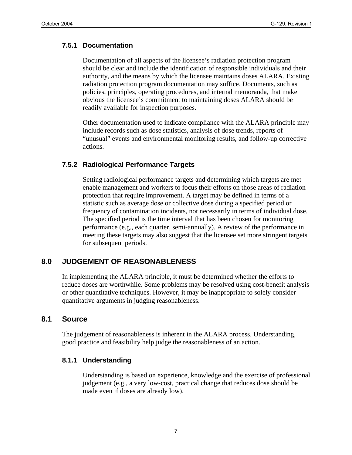#### **7.5.1 Documentation**

Documentation of all aspects of the licensee's radiation protection program should be clear and include the identification of responsible individuals and their authority, and the means by which the licensee maintains doses ALARA. Existing radiation protection program documentation may suffice. Documents, such as policies, principles, operating procedures, and internal memoranda, that make obvious the licensee's commitment to maintaining doses ALARA should be readily available for inspection purposes.

Other documentation used to indicate compliance with the ALARA principle may include records such as dose statistics, analysis of dose trends, reports of "unusual" events and environmental monitoring results, and follow-up corrective actions.

#### **7.5.2 Radiological Performance Targets**

Setting radiological performance targets and determining which targets are met enable management and workers to focus their efforts on those areas of radiation protection that require improvement. A target may be defined in terms of a statistic such as average dose or collective dose during a specified period or frequency of contamination incidents, not necessarily in terms of individual dose. The specified period is the time interval that has been chosen for monitoring performance (e.g., each quarter, semi-annually). A review of the performance in meeting these targets may also suggest that the licensee set more stringent targets for subsequent periods.

### **8.0 JUDGEMENT OF REASONABLENESS**

In implementing the ALARA principle, it must be determined whether the efforts to reduce doses are worthwhile. Some problems may be resolved using cost-benefit analysis or other quantitative techniques. However, it may be inappropriate to solely consider quantitative arguments in judging reasonableness.

#### **8.1 Source**

The judgement of reasonableness is inherent in the ALARA process. Understanding, good practice and feasibility help judge the reasonableness of an action.

#### **8.1.1 Understanding**

Understanding is based on experience, knowledge and the exercise of professional judgement (e.g., a very low-cost, practical change that reduces dose should be made even if doses are already low).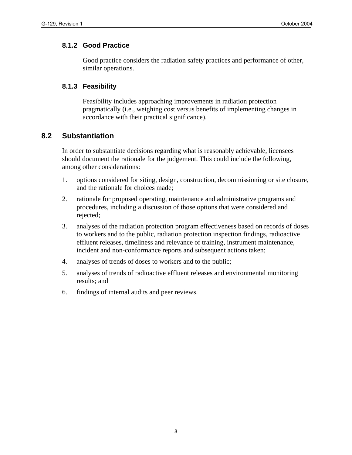#### **8.1.2 Good Practice**

Good practice considers the radiation safety practices and performance of other, similar operations.

#### **8.1.3 Feasibility**

Feasibility includes approaching improvements in radiation protection pragmatically (i.e., weighing cost versus benefits of implementing changes in accordance with their practical significance).

#### **8.2 Substantiation**

In order to substantiate decisions regarding what is reasonably achievable, licensees should document the rationale for the judgement. This could include the following, among other considerations:

- 1. options considered for siting, design, construction, decommissioning or site closure, and the rationale for choices made;
- 2. rationale for proposed operating, maintenance and administrative programs and procedures, including a discussion of those options that were considered and rejected;
- 3. analyses of the radiation protection program effectiveness based on records of doses to workers and to the public, radiation protection inspection findings, radioactive effluent releases, timeliness and relevance of training, instrument maintenance, incident and non-conformance reports and subsequent actions taken;
- 4. analyses of trends of doses to workers and to the public;
- 5. analyses of trends of radioactive effluent releases and environmental monitoring results; and
- 6. findings of internal audits and peer reviews.